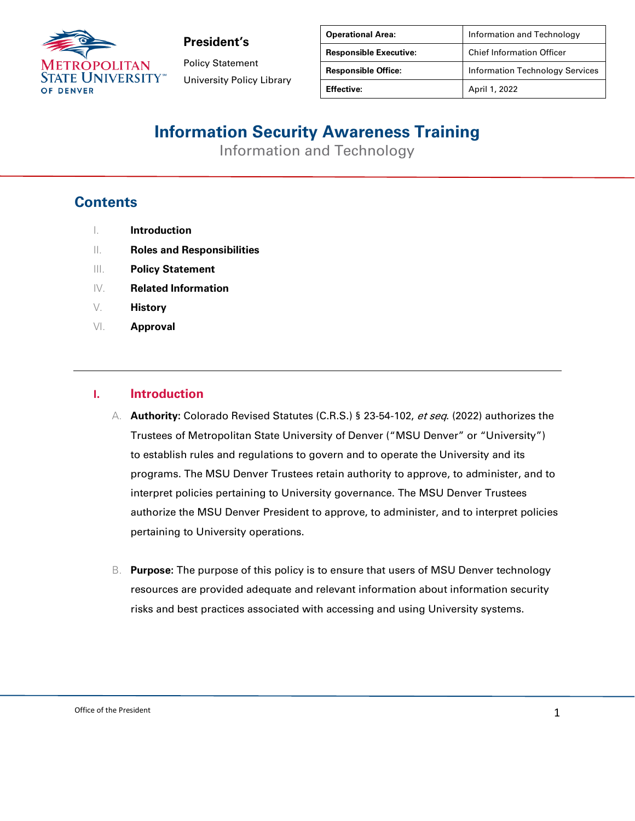

Policy Statement University Policy Library

| <b>Operational Area:</b>      | Information and Technology             |
|-------------------------------|----------------------------------------|
| <b>Responsible Executive:</b> | <b>Chief Information Officer</b>       |
| <b>Responsible Office:</b>    | <b>Information Technology Services</b> |
| <b>Effective:</b>             | April 1, 2022                          |

# **Information Security Awareness Training**

Information and Technology

### **Contents**

- I. **Introduction**
- II. **Roles and Responsibilities**
- III. **Policy Statement**
- IV. **Related Information**
- V. **History**
- VI. **Approval**

#### **I. Introduction**

- A. **Authority:** Colorado Revised Statutes (C.R.S.) § 23-54-102, et seq. (2022) authorizes the Trustees of Metropolitan State University of Denver ("MSU Denver" or "University") to establish rules and regulations to govern and to operate the University and its programs. The MSU Denver Trustees retain authority to approve, to administer, and to interpret policies pertaining to University governance. The MSU Denver Trustees authorize the MSU Denver President to approve, to administer, and to interpret policies pertaining to University operations.
- B. **Purpose:** The purpose of this policy is to ensure that users of MSU Denver technology resources are provided adequate and relevant information about information security risks and best practices associated with accessing and using University systems.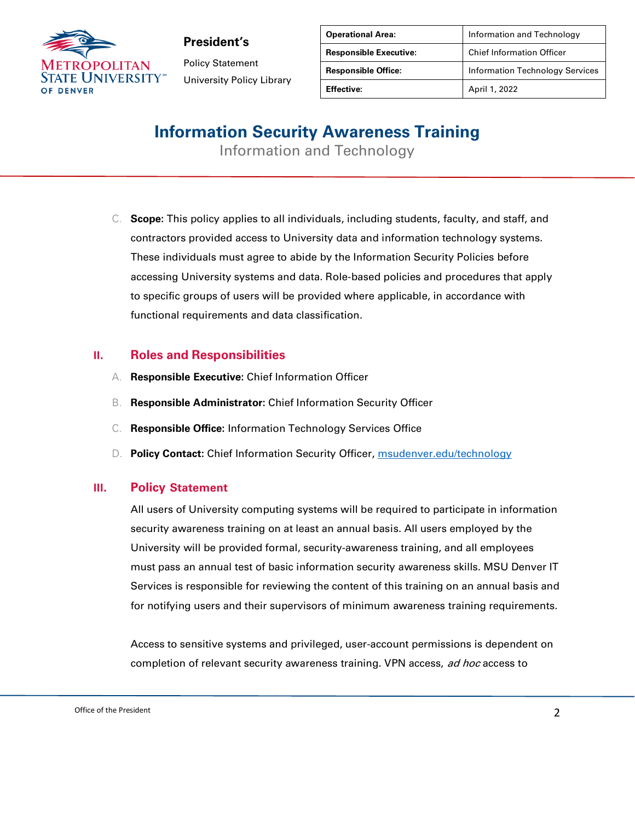

Policy Statement University Policy Library

| <b>Operational Area:</b>      | Information and Technology             |
|-------------------------------|----------------------------------------|
| <b>Responsible Executive:</b> | <b>Chief Information Officer</b>       |
| <b>Responsible Office:</b>    | <b>Information Technology Services</b> |
| Effective:                    | April 1, 2022                          |

# **Information Security Awareness Training**

Information and Technology

C. **Scope:** This policy applies to all individuals, including students, faculty, and staff, and contractors provided access to University data and information technology systems. These individuals must agree to abide by the Information Security Policies before accessing University systems and data. Role-based policies and procedures that apply to specific groups of users will be provided where applicable, in accordance with functional requirements and data classification.

#### **II. Roles and Responsibilities**

- A. **Responsible Executive:** Chief Information Officer
- B. **Responsible Administrator:** Chief Information Security Officer
- C. **Responsible Office:** Information Technology Services Office
- D. **Policy Contact:** Chief Information Security Officer, [msudenver.edu/technology](https://www.msudenver.edu/technology)

#### **III. Policy Statement**

All users of University computing systems will be required to participate in information security awareness training on at least an annual basis. All users employed by the University will be provided formal, security-awareness training, and all employees must pass an annual test of basic information security awareness skills. MSU Denver IT Services is responsible for reviewing the content of this training on an annual basis and for notifying users and their supervisors of minimum awareness training requirements.

Access to sensitive systems and privileged, user-account permissions is dependent on completion of relevant security awareness training. VPN access, ad hoc access to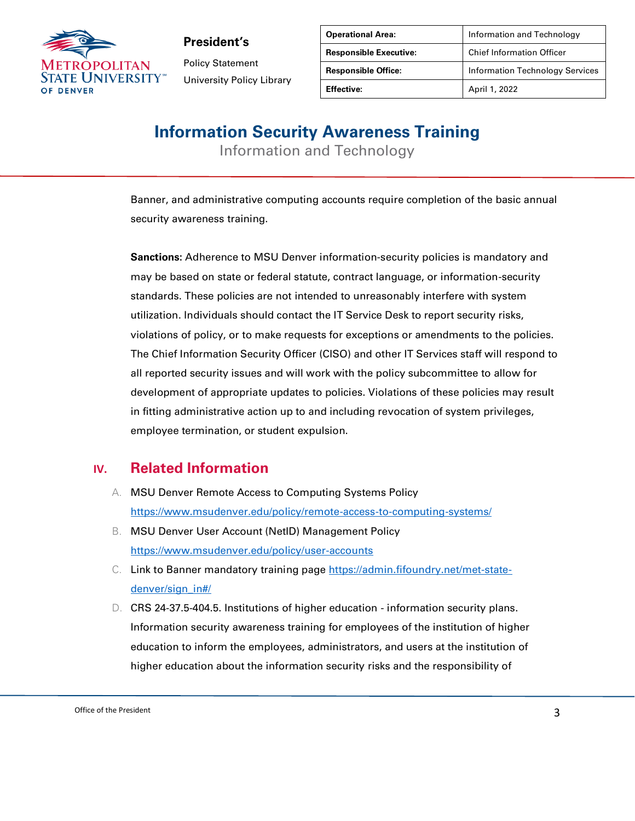

Policy Statement University Policy Library

| <b>Operational Area:</b>      | Information and Technology             |
|-------------------------------|----------------------------------------|
| <b>Responsible Executive:</b> | <b>Chief Information Officer</b>       |
| <b>Responsible Office:</b>    | <b>Information Technology Services</b> |
| <b>Effective:</b>             | April 1, 2022                          |

### **Information Security Awareness Training**

Information and Technology

Banner, and administrative computing accounts require completion of the basic annual security awareness training.

**Sanctions:** Adherence to MSU Denver information-security policies is mandatory and may be based on state or federal statute, contract language, or information-security standards. These policies are not intended to unreasonably interfere with system utilization. Individuals should contact the IT Service Desk to report security risks, violations of policy, or to make requests for exceptions or amendments to the policies. The Chief Information Security Officer (CISO) and other IT Services staff will respond to all reported security issues and will work with the policy subcommittee to allow for development of appropriate updates to policies. Violations of these policies may result in fitting administrative action up to and including revocation of system privileges, employee termination, or student expulsion.

### **IV. Related Information**

- A. MSU Denver Remote Access to Computing Systems Policy <https://www.msudenver.edu/policy/remote-access-to-computing-systems/>
- B. MSU Denver User Account (NetID) Management Policy <https://www.msudenver.edu/policy/user-accounts>
- C. Link to Banner mandatory training page [https://admin.fifoundry.net/met-state](https://admin.fifoundry.net/met-state-denver/sign_in#/)[denver/sign\\_in#/](https://admin.fifoundry.net/met-state-denver/sign_in#/)
- D. CRS 24-37.5-404.5. Institutions of higher education information security plans. Information security awareness training for employees of the institution of higher education to inform the employees, administrators, and users at the institution of higher education about the information security risks and the responsibility of